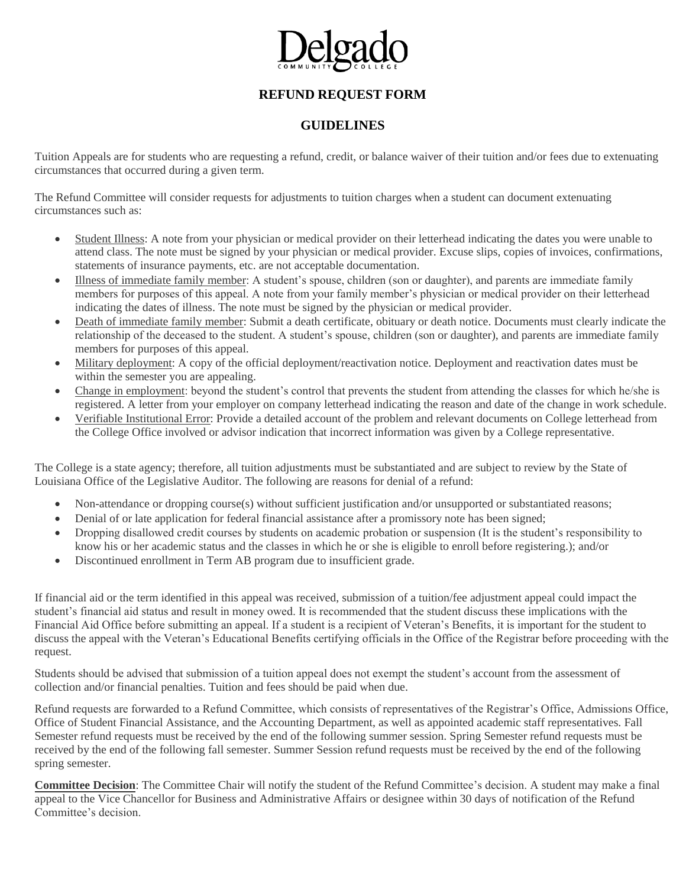

## **GUIDELINES**

Tuition Appeals are for students who are requesting a refund, credit, or balance waiver of their tuition and/or fees due to extenuating circumstances that occurred during a given term.

The Refund Committee will consider requests for adjustments to tuition charges when a student can document extenuating circumstances such as:

- Student Illness: A note from your physician or medical provider on their letterhead indicating the dates you were unable to attend class. The note must be signed by your physician or medical provider. Excuse slips, copies of invoices, confirmations, statements of insurance payments, etc. are not acceptable documentation.
- Illness of immediate family member: A student's spouse, children (son or daughter), and parents are immediate family members for purposes of this appeal. A note from your family member's physician or medical provider on their letterhead indicating the dates of illness. The note must be signed by the physician or medical provider.
- Death of immediate family member: Submit a death certificate, obituary or death notice. Documents must clearly indicate the relationship of the deceased to the student. A student's spouse, children (son or daughter), and parents are immediate family members for purposes of this appeal.
- Military deployment: A copy of the official deployment/reactivation notice. Deployment and reactivation dates must be within the semester you are appealing.
- Change in employment: beyond the student's control that prevents the student from attending the classes for which he/she is registered. A letter from your employer on company letterhead indicating the reason and date of the change in work schedule.
- Verifiable Institutional Error: Provide a detailed account of the problem and relevant documents on College letterhead from the College Office involved or advisor indication that incorrect information was given by a College representative.

The College is a state agency; therefore, all tuition adjustments must be substantiated and are subject to review by the State of Louisiana Office of the Legislative Auditor. The following are reasons for denial of a refund:

- Non-attendance or dropping course(s) without sufficient justification and/or unsupported or substantiated reasons;
- Denial of or late application for federal financial assistance after a promissory note has been signed;
- Dropping disallowed credit courses by students on academic probation or suspension (It is the student's responsibility to know his or her academic status and the classes in which he or she is eligible to enroll before registering.); and/or
- Discontinued enrollment in Term AB program due to insufficient grade.

If financial aid or the term identified in this appeal was received, submission of a tuition/fee adjustment appeal could impact the student's financial aid status and result in money owed. It is recommended that the student discuss these implications with the Financial Aid Office before submitting an appeal. If a student is a recipient of Veteran's Benefits, it is important for the student to discuss the appeal with the Veteran's Educational Benefits certifying officials in the Office of the Registrar before proceeding with the request.

Students should be advised that submission of a tuition appeal does not exempt the student's account from the assessment of collection and/or financial penalties. Tuition and fees should be paid when due.

Refund requests are forwarded to a Refund Committee, which consists of representatives of the Registrar's Office, Admissions Office, Office of Student Financial Assistance, and the Accounting Department, as well as appointed academic staff representatives. Fall Semester refund requests must be received by the end of the following summer session. Spring Semester refund requests must be received by the end of the following fall semester. Summer Session refund requests must be received by the end of the following spring semester.

**Committee Decision**: The Committee Chair will notify the student of the Refund Committee's decision. A student may make a final appeal to the Vice Chancellor for Business and Administrative Affairs or designee within 30 days of notification of the Refund Committee's decision.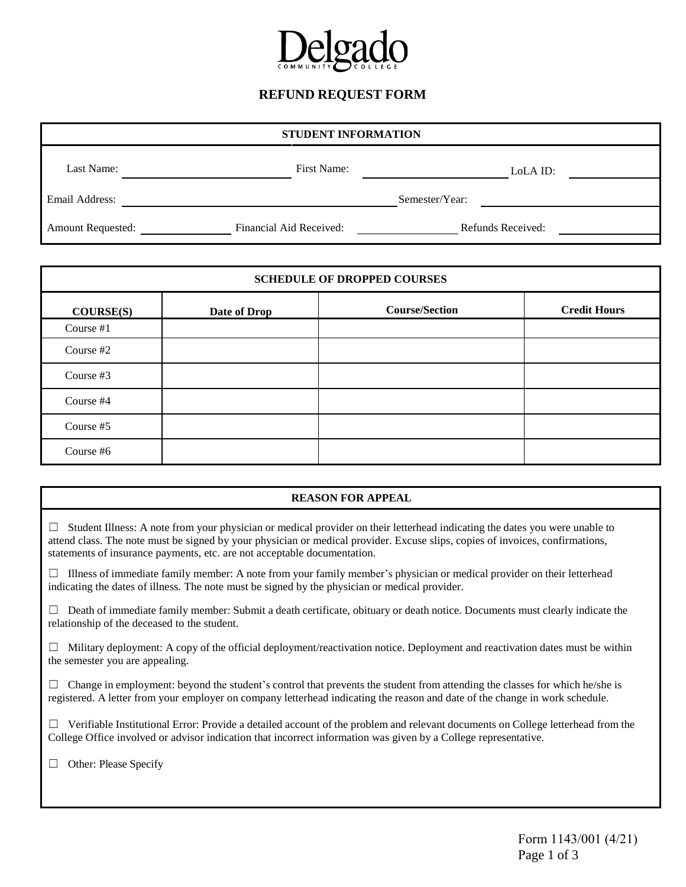

| STUDENT INFORMATION      |                         |                   |  |  |
|--------------------------|-------------------------|-------------------|--|--|
| Last Name:               | First Name:             | LoLA ID:          |  |  |
| Email Address:           |                         | Semester/Year:    |  |  |
| <b>Amount Requested:</b> | Financial Aid Received: | Refunds Received: |  |  |

| <b>SCHEDULE OF DROPPED COURSES</b> |              |                       |                     |  |
|------------------------------------|--------------|-----------------------|---------------------|--|
| COURSE(S)                          | Date of Drop | <b>Course/Section</b> | <b>Credit Hours</b> |  |
| Course #1                          |              |                       |                     |  |
| Course #2                          |              |                       |                     |  |
| Course #3                          |              |                       |                     |  |
| Course #4                          |              |                       |                     |  |
| Course #5                          |              |                       |                     |  |
| Course #6                          |              |                       |                     |  |

### **REASON FOR APPEAL**

 $\Box$  Student Illness: A note from your physician or medical provider on their letterhead indicating the dates you were unable to attend class. The note must be signed by your physician or medical provider. Excuse slips, copies of invoices, confirmations, statements of insurance payments, etc. are not acceptable documentation.

 $\Box$  Illness of immediate family member: A note from your family member's physician or medical provider on their letterhead indicating the dates of illness. The note must be signed by the physician or medical provider.

 $\Box$  Death of immediate family member: Submit a death certificate, obituary or death notice. Documents must clearly indicate the relationship of the deceased to the student.

 $\Box$  Military deployment: A copy of the official deployment/reactivation notice. Deployment and reactivation dates must be within the semester you are appealing.

 $\Box$  Change in employment: beyond the student's control that prevents the student from attending the classes for which he/she is registered. A letter from your employer on company letterhead indicating the reason and date of the change in work schedule.

 $\Box$  Verifiable Institutional Error: Provide a detailed account of the problem and relevant documents on College letterhead from the College Office involved or advisor indication that incorrect information was given by a College representative.

□ Other: Please Specify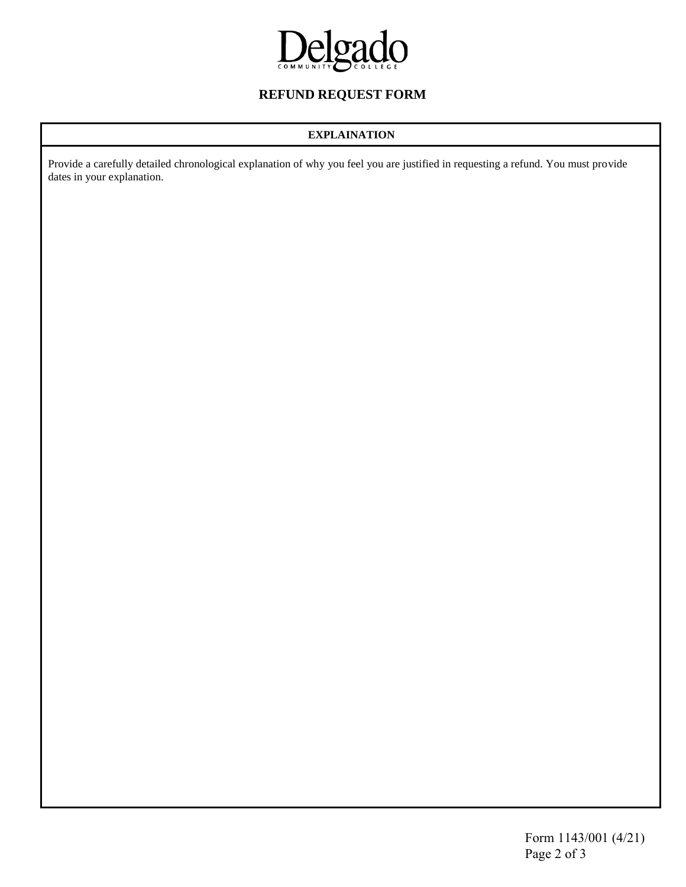

### **EXPLAINATION**

Provide a carefully detailed chronological explanation of why you feel you are justified in requesting a refund. You must provide dates in your explanation.